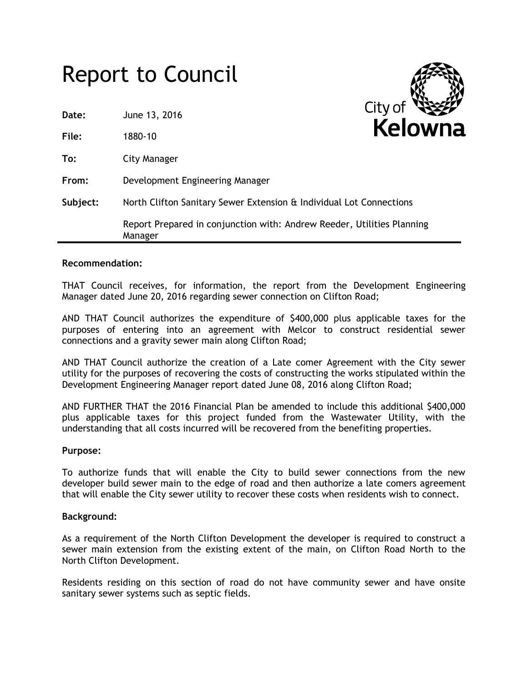# Report to Council

| Date:    | June 13, 2016                                                                     | <b>CITY OT</b><br>×<br><b>Kelown</b> |
|----------|-----------------------------------------------------------------------------------|--------------------------------------|
| File:    | 1880-10                                                                           |                                      |
| To:      | City Manager                                                                      |                                      |
| From:    | Development Engineering Manager                                                   |                                      |
| Subject: | North Clifton Sanitary Sewer Extension & Individual Lot Connections               |                                      |
|          | Report Prepared in conjunction with: Andrew Reeder, Utilities Planning<br>Manager |                                      |

### **Recommendation:**

THAT Council receives, for information, the report from the Development Engineering Manager dated June 20, 2016 regarding sewer connection on Clifton Road;

AND THAT Council authorizes the expenditure of \$400,000 plus applicable taxes for the purposes of entering into an agreement with Melcor to construct residential sewer connections and a gravity sewer main along Clifton Road;

AND THAT Council authorize the creation of a Late comer Agreement with the City sewer utility for the purposes of recovering the costs of constructing the works stipulated within the Development Engineering Manager report dated June 08, 2016 along Clifton Road;

AND FURTHER THAT the 2016 Financial Plan be amended to include this additional \$400,000 plus applicable taxes for this project funded from the Wastewater Utility, with the understanding that all costs incurred will be recovered from the benefiting properties.

#### **Purpose:**

To authorize funds that will enable the City to build sewer connections from the new developer build sewer main to the edge of road and then authorize a late comers agreement that will enable the City sewer utility to recover these costs when residents wish to connect.

#### **Background:**

As a requirement of the North Clifton Development the developer is required to construct a sewer main extension from the existing extent of the main, on Clifton Road North to the North Clifton Development.

Residents residing on this section of road do not have community sewer and have onsite sanitary sewer systems such as septic fields.

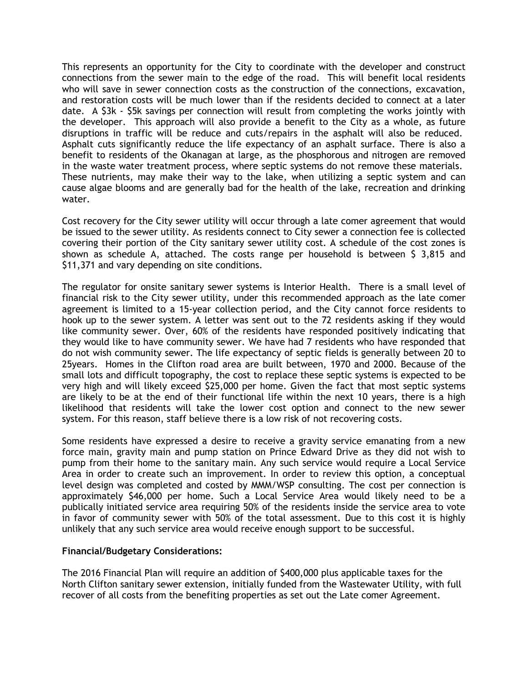This represents an opportunity for the City to coordinate with the developer and construct connections from the sewer main to the edge of the road. This will benefit local residents who will save in sewer connection costs as the construction of the connections, excavation, and restoration costs will be much lower than if the residents decided to connect at a later date. A \$3k - \$5k savings per connection will result from completing the works jointly with the developer. This approach will also provide a benefit to the City as a whole, as future disruptions in traffic will be reduce and cuts/repairs in the asphalt will also be reduced. Asphalt cuts significantly reduce the life expectancy of an asphalt surface. There is also a benefit to residents of the Okanagan at large, as the phosphorous and nitrogen are removed in the waste water treatment process, where septic systems do not remove these materials. These nutrients, may make their way to the lake, when utilizing a septic system and can cause algae blooms and are generally bad for the health of the lake, recreation and drinking water.

Cost recovery for the City sewer utility will occur through a late comer agreement that would be issued to the sewer utility. As residents connect to City sewer a connection fee is collected covering their portion of the City sanitary sewer utility cost. A schedule of the cost zones is shown as schedule A, attached. The costs range per household is between \$ 3,815 and \$11,371 and vary depending on site conditions.

The regulator for onsite sanitary sewer systems is Interior Health. There is a small level of financial risk to the City sewer utility, under this recommended approach as the late comer agreement is limited to a 15-year collection period, and the City cannot force residents to hook up to the sewer system. A letter was sent out to the 72 residents asking if they would like community sewer. Over, 60% of the residents have responded positively indicating that they would like to have community sewer. We have had 7 residents who have responded that do not wish community sewer. The life expectancy of septic fields is generally between 20 to 25years. Homes in the Clifton road area are built between, 1970 and 2000. Because of the small lots and difficult topography, the cost to replace these septic systems is expected to be very high and will likely exceed \$25,000 per home. Given the fact that most septic systems are likely to be at the end of their functional life within the next 10 years, there is a high likelihood that residents will take the lower cost option and connect to the new sewer system. For this reason, staff believe there is a low risk of not recovering costs.

Some residents have expressed a desire to receive a gravity service emanating from a new force main, gravity main and pump station on Prince Edward Drive as they did not wish to pump from their home to the sanitary main. Any such service would require a Local Service Area in order to create such an improvement. In order to review this option, a conceptual level design was completed and costed by MMM/WSP consulting. The cost per connection is approximately \$46,000 per home. Such a Local Service Area would likely need to be a publically initiated service area requiring 50% of the residents inside the service area to vote in favor of community sewer with 50% of the total assessment. Due to this cost it is highly unlikely that any such service area would receive enough support to be successful.

## **Financial/Budgetary Considerations:**

The 2016 Financial Plan will require an addition of \$400,000 plus applicable taxes for the North Clifton sanitary sewer extension, initially funded from the Wastewater Utility, with full recover of all costs from the benefiting properties as set out the Late comer Agreement.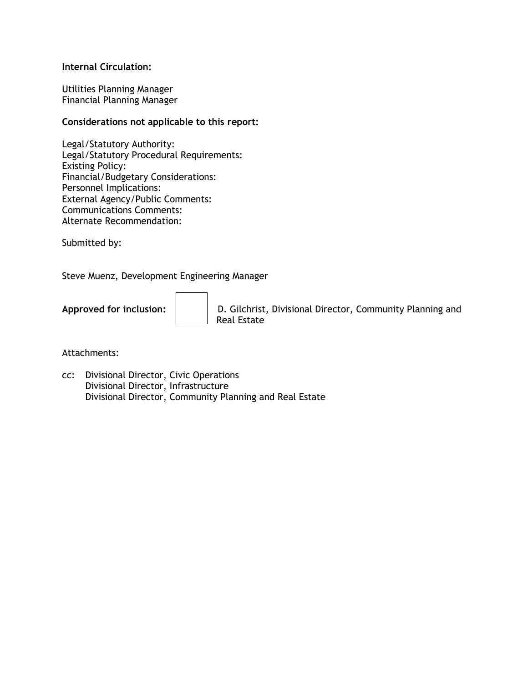## **Internal Circulation:**

Utilities Planning Manager Financial Planning Manager

## **Considerations not applicable to this report:**

Legal/Statutory Authority: Legal/Statutory Procedural Requirements: Existing Policy: Financial/Budgetary Considerations: Personnel Implications: External Agency/Public Comments: Communications Comments: Alternate Recommendation:

Submitted by:

Steve Muenz, Development Engineering Manager

Approved for inclusion:  $\vert \vert$  D. Gilchrist, Divisional Director, Community Planning and Real Estate

Attachments:

cc: Divisional Director, Civic Operations Divisional Director, Infrastructure Divisional Director, Community Planning and Real Estate